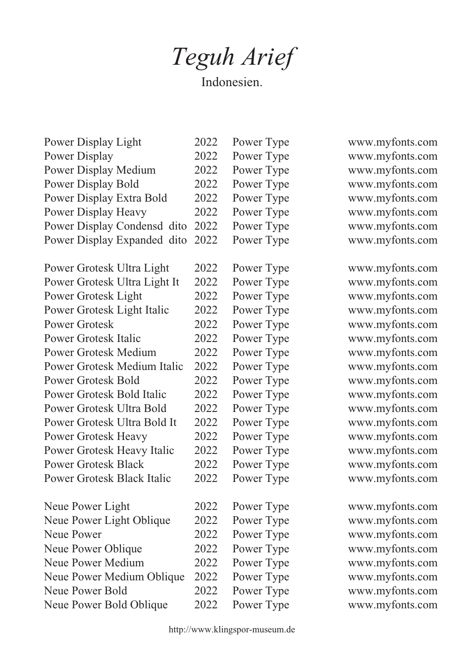## *Teguh Arief*

Indonesien.

| Power Display Light              | 2022 | Power Type |
|----------------------------------|------|------------|
| Power Display                    | 2022 | Power Type |
| <b>Power Display Medium</b>      | 2022 | Power Type |
| <b>Power Display Bold</b>        | 2022 | Power Type |
| Power Display Extra Bold         | 2022 | Power Type |
| <b>Power Display Heavy</b>       | 2022 | Power Type |
| Power Display Condensd dito      | 2022 | Power Type |
| Power Display Expanded dito 2022 |      | Power Type |
|                                  |      |            |

| Power Grotesk Ultra Light          | 2022 | Power Type |
|------------------------------------|------|------------|
| Power Grotesk Ultra Light It       | 2022 | Power Type |
| Power Grotesk Light                | 2022 | Power Type |
| Power Grotesk Light Italic         | 2022 | Power Type |
| <b>Power Grotesk</b>               | 2022 | Power Type |
| <b>Power Grotesk Italic</b>        | 2022 | Power Type |
| <b>Power Grotesk Medium</b>        | 2022 | Power Type |
| <b>Power Grotesk Medium Italic</b> | 2022 | Power Type |
| <b>Power Grotesk Bold</b>          | 2022 | Power Type |
| <b>Power Grotesk Bold Italic</b>   | 2022 | Power Type |
| Power Grotesk Ultra Bold           | 2022 | Power Type |
| Power Grotesk Ultra Bold It        | 2022 | Power Type |
| <b>Power Grotesk Heavy</b>         | 2022 | Power Type |
| Power Grotesk Heavy Italic         | 2022 | Power Type |
| <b>Power Grotesk Black</b>         | 2022 | Power Type |
| <b>Power Grotesk Black Italic</b>  | 2022 | Power Type |
| Neue Power Light                   | 2022 | Power Type |
| Neue Power Light Oblique           | 2022 | Power Type |
| <b>Neue Power</b>                  | 2022 | Power Type |
| Neue Power Oblique                 | 2022 | Power Type |
| <b>Neue Power Medium</b>           | 2022 | Power Type |
| Neue Power Medium Oblique          | 2022 | Power Type |
| Neue Power Bold                    | 2022 | Power Type |
|                                    |      |            |

Neue Power Bold Oblique

www.myfonts.com www.myfonts.com www.myfonts.com www.myfonts.com www.myfonts.com www.myfonts.com www.myfonts.com www.myfonts.com

www.myfonts.com www.myfonts.com www.myfonts.com www.myfonts.com www.myfonts.com www.myfonts.com www.myfonts.com www.myfonts.com www.myfonts.com www.myfonts.com www.myfonts.com www.myfonts.com www.myfonts.com www.myfonts.com www.myfonts.com www.myfonts.com

www.myfonts.com www.myfonts.com www.myfonts.com www.myfonts.com www.myfonts.com www.myfonts.com www.myfonts.com www.myfonts.com

Power Type

2022